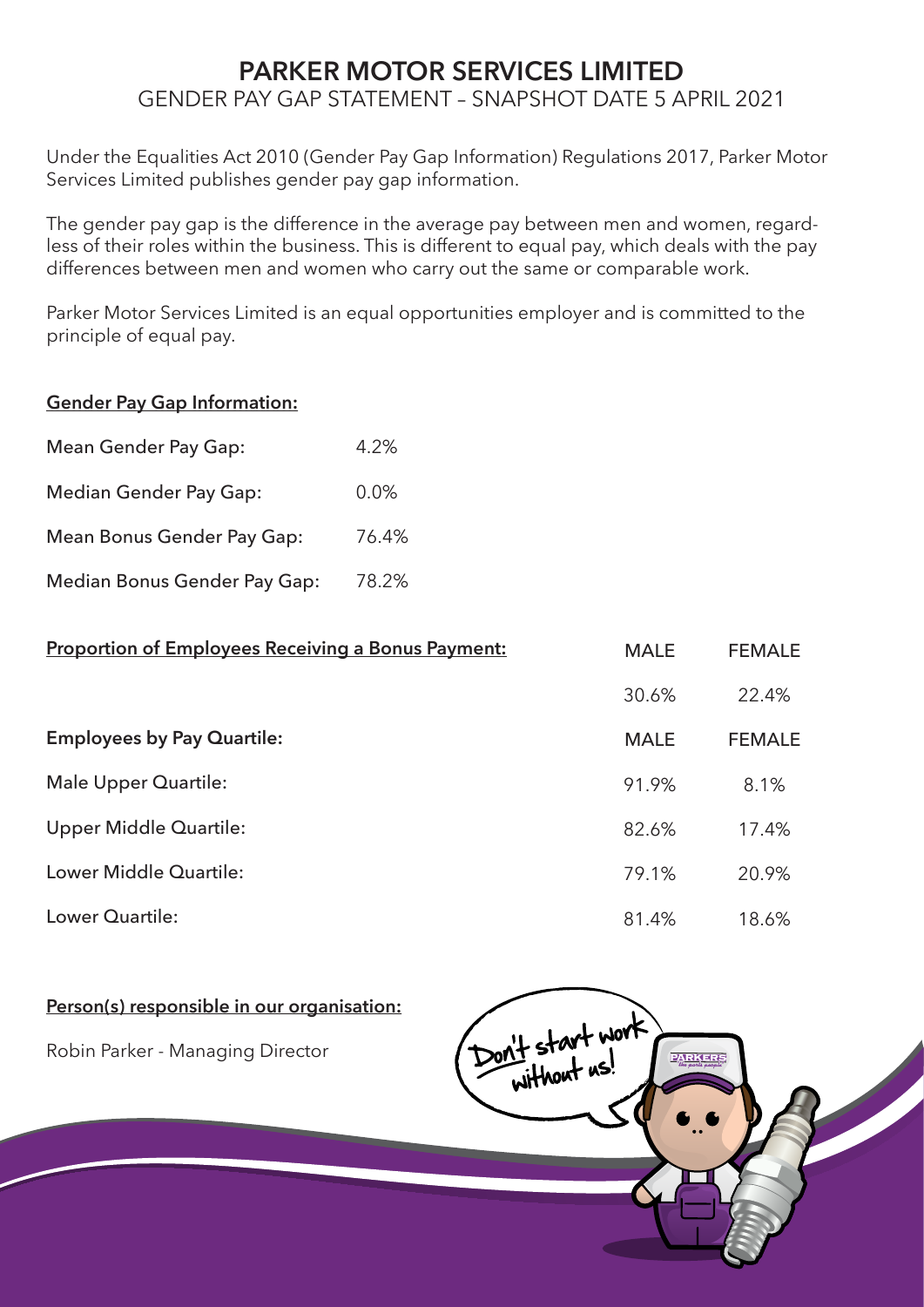# **PARKER MOTOR SERVICES LIMITED** GENDER PAY GAP STATEMENT – SNAPSHOT DATE 5 APRIL 2021

Under the Equalities Act 2010 (Gender Pay Gap Information) Regulations 2017, Parker Motor Services Limited publishes gender pay gap information.

The gender pay gap is the difference in the average pay between men and women, regardless of their roles within the business. This is different to equal pay, which deals with the pay differences between men and women who carry out the same or comparable work.

Parker Motor Services Limited is an equal opportunities employer and is committed to the principle of equal pay.

### **Gender Pay Gap Information:**

| <b>Mean Gender Pay Gap:</b>   | 4.2%    |
|-------------------------------|---------|
| <b>Median Gender Pay Gap:</b> | $0.0\%$ |
| Mean Bonus Gender Pay Gap:    | 76.4%   |
| Median Bonus Gender Pay Gap:  | 78.2%   |

| <b>Proportion of Employees Receiving a Bonus Payment:</b> | <b>MALE</b> | <b>FEMALE</b> |
|-----------------------------------------------------------|-------------|---------------|
|                                                           | 30.6%       | 22.4%         |
| <b>Employees by Pay Quartile:</b>                         | <b>MALE</b> | <b>FEMALE</b> |
| <b>Male Upper Quartile:</b>                               | 91.9%       | 8.1%          |
| Upper Middle Quartile:                                    | 82.6%       | 17.4%         |
| Lower Middle Quartile:                                    | 79.1%       | 20.9%         |
| Lower Quartile:                                           | 81.4%       | 18.6%         |

## **Person(s) responsible in our organisation:**

Robin Parker - Managing Director

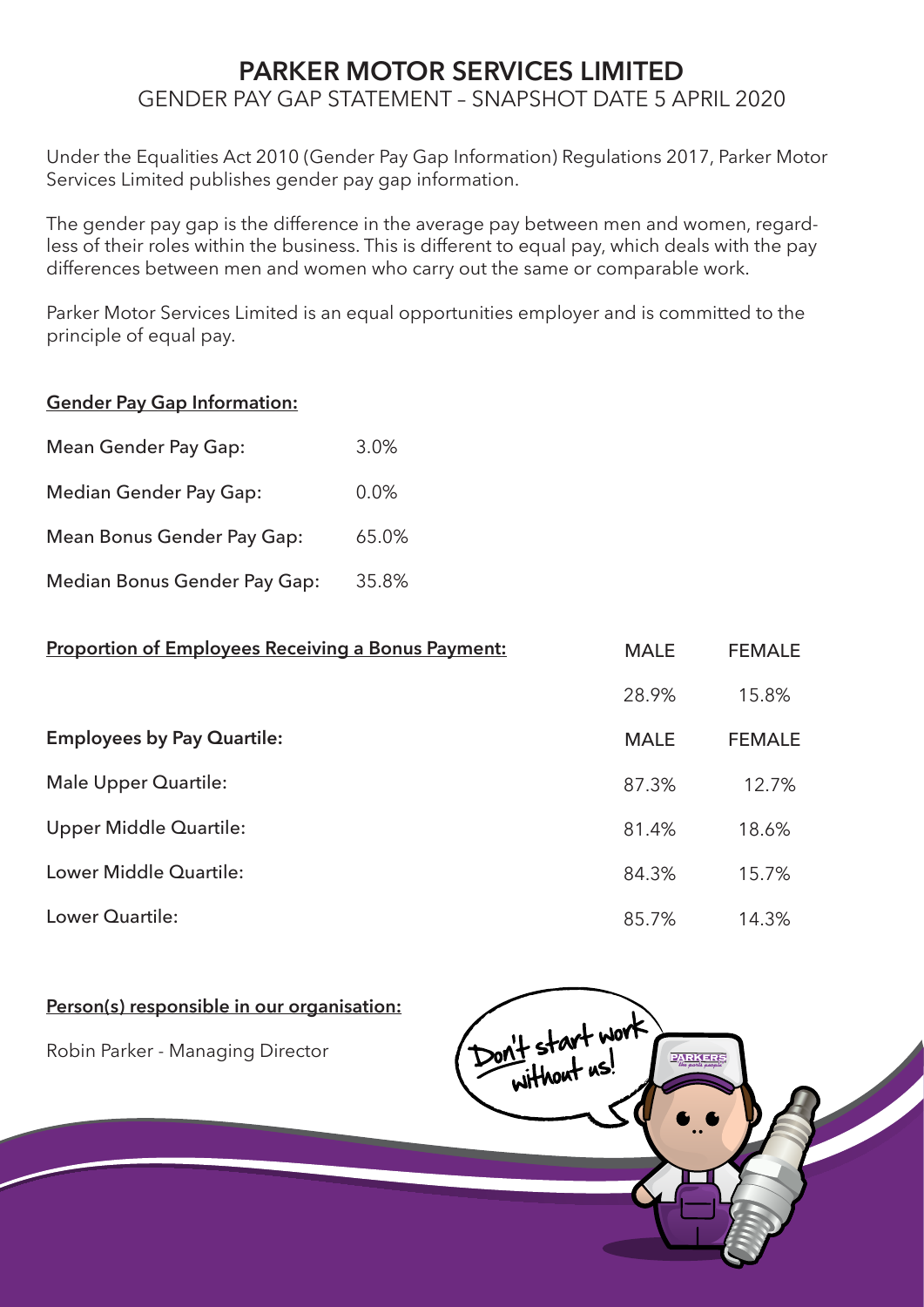# **PARKER MOTOR SERVICES LIMITED** GENDER PAY GAP STATEMENT – SNAPSHOT DATE 5 APRIL 2020

Under the Equalities Act 2010 (Gender Pay Gap Information) Regulations 2017, Parker Motor Services Limited publishes gender pay gap information.

The gender pay gap is the difference in the average pay between men and women, regardless of their roles within the business. This is different to equal pay, which deals with the pay differences between men and women who carry out the same or comparable work.

Parker Motor Services Limited is an equal opportunities employer and is committed to the principle of equal pay.

### **Gender Pay Gap Information:**

| <b>Mean Gender Pay Gap:</b>   | 3.0%  |
|-------------------------------|-------|
| <b>Median Gender Pay Gap:</b> | 0.0%  |
| Mean Bonus Gender Pay Gap:    | 65.0% |
| Median Bonus Gender Pay Gap:  | 35.8% |

| <b>Proportion of Employees Receiving a Bonus Payment:</b> | <b>MALE</b> | <b>FEMALE</b> |
|-----------------------------------------------------------|-------------|---------------|
|                                                           | 28.9%       | 15.8%         |
| <b>Employees by Pay Quartile:</b>                         | <b>MALE</b> | <b>FEMALE</b> |
| <b>Male Upper Quartile:</b>                               | 87.3%       | 12.7%         |
| Upper Middle Quartile:                                    | 81.4%       | 18.6%         |
| Lower Middle Quartile:                                    | 84.3%       | 15.7%         |
| Lower Quartile:                                           | 85.7%       | 14.3%         |

#### **Person(s) responsible in our organisation:**

Robin Parker - Managing Director